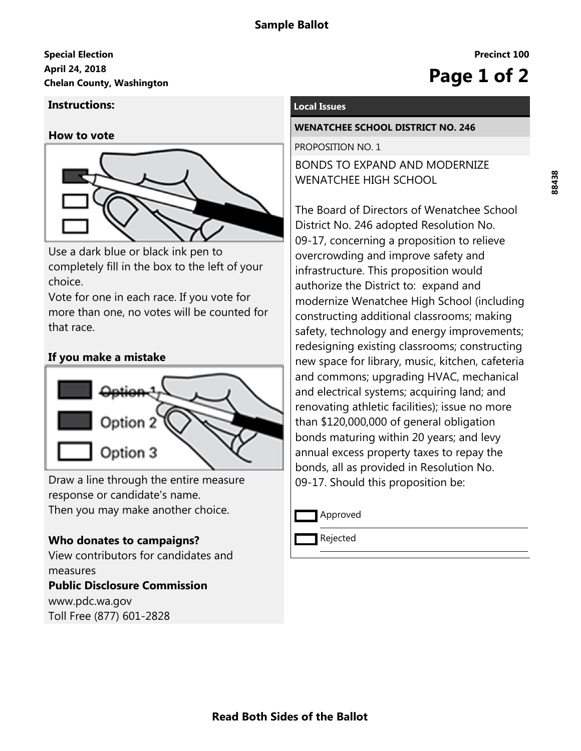# **April 24, 2018 Special Election Chelan County, Washington Page 1 of 2**

## **Instructions:**

#### **How to vote**



Use a dark blue or black ink pen to completely fill in the box to the left of your choice.

Vote for one in each race. If you vote for more than one, no votes will be counted for that race.

## **If you make a mistake**



Draw a line through the entire measure response or candidate's name. Then you may make another choice.

## **Who donates to campaigns?**

View contributors for candidates and measures **Public Disclosure Commission**

www.pdc.wa.gov Toll Free (877) 601-2828

### **Local Issues**

#### **WENATCHEE SCHOOL DISTRICT NO. 246**

PROPOSITION NO. 1 BONDS TO EXPAND AND MODERNIZE WENATCHEE HIGH SCHOOL

The Board of Directors of Wenatchee School District No. 246 adopted Resolution No. 09-17, concerning a proposition to relieve overcrowding and improve safety and infrastructure. This proposition would authorize the District to: expand and modernize Wenatchee High School (including constructing additional classrooms; making safety, technology and energy improvements; redesigning existing classrooms; constructing new space for library, music, kitchen, cafeteria and commons; upgrading HVAC, mechanical and electrical systems; acquiring land; and renovating athletic facilities); issue no more than \$120,000,000 of general obligation bonds maturing within 20 years; and levy annual excess property taxes to repay the bonds, all as provided in Resolution No. 09-17. Should this proposition be:

Approved

Rejected

**Precinct 100**